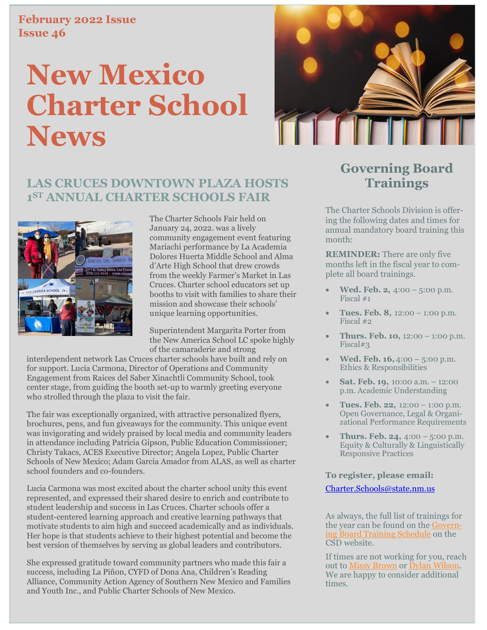#### **February 2022 Issue Issue 46**

# **New Mexico Charter School News**



### **LAS CRUCES DOWNTOWN PLAZA HOSTS 1 ST ANNUAL CHARTER SCHOOLS FAIR**



The Charter Schools Fair held on January 24, 2022. was a lively community engagement event featuring Mariachi performance by La Academia Dolores Huerta Middle School and Alma d'Arte High School that drew crowds from the weekly Farmer's Market in Las Cruces. Charter school educators set up booths to visit with families to share their mission and showcase their schools' unique learning opportunities.

Superintendent Margarita Porter from the New America School LC spoke highly of the camaraderie and strong

interdependent network Las Cruces charter schools have built and rely on for support. Lucia Carmona, Director of Operations and Community Engagement from Raices del Saber Xinachtli Community School, took center stage, from guiding the booth set-up to warmly greeting everyone who strolled through the plaza to visit the fair.

The fair was exceptionally organized, with attractive personalized flyers, brochures, pens, and fun giveaways for the community. This unique event was invigorating and widely praised by local media and community leaders in attendance including Patricia Gipson, Public Education Commissioner; Christy Takacs, ACES Executive Director; Angela Lopez, Public Charter Schools of New Mexico; Adam Garcia Amador from ALAS, as well as charter school founders and co-founders.

Lucia Carmona was most excited about the charter school unity this event represented, and expressed their shared desire to enrich and contribute to student leadership and success in Las Cruces. Charter schools offer a student-centered learning approach and creative learning pathways that motivate students to aim high and succeed academically and as individuals. Her hope is that students achieve to their highest potential and become the best version of themselves by serving as global leaders and contributors.

She expressed gratitude toward community partners who made this fair a success, including La Piñon, CYFD of Dona Ana, Children's Reading Alliance, Community Action Agency of Southern New Mexico and Families and Youth Inc., and Public Charter Schools of New Mexico.

## **Governing Board Trainings**

The Charter Schools Division is offering the following dates and times for annual mandatory board training this month:

**REMINDER:** There are only five months left in the fiscal year to complete all board trainings.

- **Wed. Feb. 2,** 4:00 5:00 p.m. Fiscal #1
- **Tues. Feb. 8,** 12:00 1:00 p.m. Fiscal #2
- **Thurs. Feb. 10,** 12:00 1:00 p.m. Fiscal#3
- **Wed. Feb. 16,** 4:00 5:00 p.m. Ethics & Responsibilities
- **Sat. Feb. 19,** 10:00 a.m. 12:00 p.m. Academic Understanding
- **Tues. Feb. 22,** 12:00 1:00 p.m. Open Governance, Legal & Organizational Performance Requirements
- **Thurs. Feb. 24,** 4:00 5:00 p.m. Equity & Culturally & Linguistically Responsive Practices

#### **To register, please email:**

#### Charter.Schools@state.nm.us

As always, the full list of trainings for the year can be found on the [Govern](https://webnew.ped.state.nm.us/wp-content/uploads/2022/01/FY22-Annual-Schedule.pdf)[ing Board Training Schedule](https://webnew.ped.state.nm.us/wp-content/uploads/2022/01/FY22-Annual-Schedule.pdf) on the CSD website.

If times are not working for you, reach out to [Missy Brown](mailto:Melissa.Brown@state.nm.us) or [Dylan Wilson.](mailto:dylan.wilson@state.nm.us) We are happy to consider additional times.